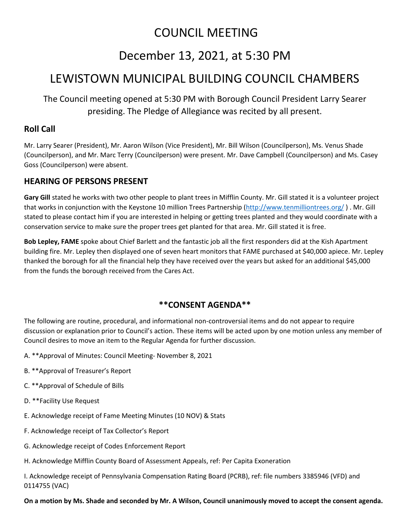# COUNCIL MEETING

# December 13, 2021, at 5:30 PM

# LEWISTOWN MUNICIPAL BUILDING COUNCIL CHAMBERS

The Council meeting opened at 5:30 PM with Borough Council President Larry Searer presiding. The Pledge of Allegiance was recited by all present.

### **Roll Call**

Mr. Larry Searer (President), Mr. Aaron Wilson (Vice President), Mr. Bill Wilson (Councilperson), Ms. Venus Shade (Councilperson), and Mr. Marc Terry (Councilperson) were present. Mr. Dave Campbell (Councilperson) and Ms. Casey Goss (Councilperson) were absent.

### **HEARING OF PERSONS PRESENT**

**Gary Gill** stated he works with two other people to plant trees in Mifflin County. Mr. Gill stated it is a volunteer project that works in conjunction with the Keystone 10 million Trees Partnership [\(http://www.tenmilliontrees.org/](http://www.tenmilliontrees.org/) ) . Mr. Gill stated to please contact him if you are interested in helping or getting trees planted and they would coordinate with a conservation service to make sure the proper trees get planted for that area. Mr. Gill stated it is free.

**Bob Lepley, FAME** spoke about Chief Barlett and the fantastic job all the first responders did at the Kish Apartment building fire. Mr. Lepley then displayed one of seven heart monitors that FAME purchased at \$40,000 apiece. Mr. Lepley thanked the borough for all the financial help they have received over the years but asked for an additional \$45,000 from the funds the borough received from the Cares Act.

## **\*\*CONSENT AGENDA\*\***

The following are routine, procedural, and informational non-controversial items and do not appear to require discussion or explanation prior to Council's action. These items will be acted upon by one motion unless any member of Council desires to move an item to the Regular Agenda for further discussion.

- A. \*\*Approval of Minutes: Council Meeting- November 8, 2021
- B. \*\*Approval of Treasurer's Report
- C. \*\*Approval of Schedule of Bills
- D. \*\*Facility Use Request
- E. Acknowledge receipt of Fame Meeting Minutes (10 NOV) & Stats
- F. Acknowledge receipt of Tax Collector's Report
- G. Acknowledge receipt of Codes Enforcement Report
- H. Acknowledge Mifflin County Board of Assessment Appeals, ref: Per Capita Exoneration

I. Acknowledge receipt of Pennsylvania Compensation Rating Board (PCRB), ref: file numbers 3385946 (VFD) and 0114755 (VAC)

**On a motion by Ms. Shade and seconded by Mr. A Wilson, Council unanimously moved to accept the consent agenda.**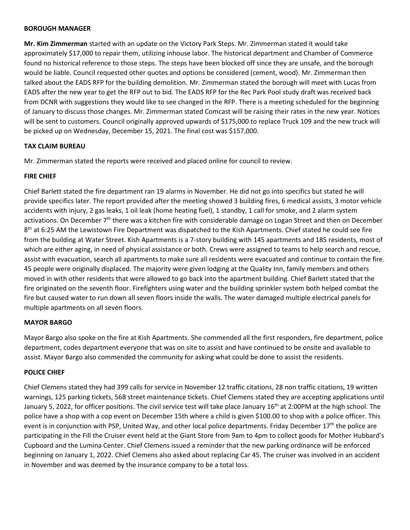#### **BOROUGH MANAGER**

**Mr. Kim Zimmerman** started with an update on the Victory Park Steps. Mr. Zimmerman stated it would take approximately \$17,000 to repair them, utilizing inhouse labor. The historical department and Chamber of Commerce found no historical reference to those steps. The steps have been blocked off since they are unsafe, and the borough would be liable. Council requested other quotes and options be considered (cement, wood). Mr. Zimmerman then talked about the EADS RFP for the building demolition. Mr. Zimmerman stated the borough will meet with Lucas from EADS after the new year to get the RFP out to bid. The EADS RFP for the Rec Park Pool study draft was received back from DCNR with suggestions they would like to see changed in the RFP. There is a meeting scheduled for the beginning of January to discuss those changes. Mr. Zimmerman stated Comcast will be raising their rates in the new year. Notices will be sent to customers. Council originally approved upwards of \$175,000 to replace Truck 109 and the new truck will be picked up on Wednesday, December 15, 2021. The final cost was \$157,000.

#### **TAX CLAIM BUREAU**

Mr. Zimmerman stated the reports were received and placed online for council to review.

#### **FIRE CHIEF**

Chief Barlett stated the fire department ran 19 alarms in November. He did not go into specifics but stated he will provide specifics later. The report provided after the meeting showed 3 building fires, 6 medical assists, 3 motor vehicle accidents with injury, 2 gas leaks, 1 oil leak (home heating fuel), 1 standby, 1 call for smoke, and 2 alarm system activations. On December 7th there was a kitchen fire with considerable damage on Logan Street and then on December 8<sup>th</sup> at 6:25 AM the Lewistown Fire Department was dispatched to the Kish Apartments. Chief stated he could see fire from the building at Water Street. Kish Apartments is a 7-story building with 145 apartments and 185 residents, most of which are either aging, in need of physical assistance or both. Crews were assigned to teams to help search and rescue, assist with evacuation, search all apartments to make sure all residents were evacuated and continue to contain the fire. 45 people were originally displaced. The majority were given lodging at the Quality Inn, family members and others moved in with other residents that were allowed to go back into the apartment building. Chief Barlett stated that the fire originated on the seventh floor. Firefighters using water and the building sprinkler system both helped combat the fire but caused water to run down all seven floors inside the walls. The water damaged multiple electrical panels for multiple apartments on all seven floors.

#### **MAYOR BARGO**

Mayor Bargo also spoke on the fire at Kish Apartments. She commended all the first responders, fire department, police department, codes department everyone that was on site to assist and have continued to be onsite and available to assist. Mayor Bargo also commended the community for asking what could be done to assist the residents.

#### **POLICE CHIEF**

Chief Clemens stated they had 399 calls for service in November 12 traffic citations, 28 non traffic citations, 19 written warnings, 125 parking tickets, 568 street maintenance tickets. Chief Clemens stated they are accepting applications until January 5, 2022, for officer positions. The civil service test will take place January  $16<sup>th</sup>$  at 2:00PM at the high school. The police have a shop with a cop event on December 15th where a child is given \$100.00 to shop with a police officer. This event is in conjunction with PSP, United Way, and other local police departments. Friday December 17<sup>th</sup> the police are participating in the Fill the Cruiser event held at the Giant Store from 9am to 4pm to collect goods for Mother Hubbard's Cupboard and the Lumina Center. Chief Clemens issued a reminder that the new parking ordinance will be enforced beginning on January 1, 2022. Chief Clemens also asked about replacing Car 45. The cruiser was involved in an accident in November and was deemed by the insurance company to be a total loss.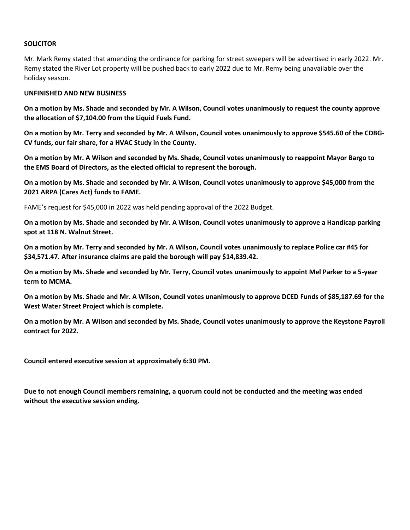### **SOLICITOR**

Mr. Mark Remy stated that amending the ordinance for parking for street sweepers will be advertised in early 2022. Mr. Remy stated the River Lot property will be pushed back to early 2022 due to Mr. Remy being unavailable over the holiday season.

#### **UNFINISHED AND NEW BUSINESS**

**On a motion by Ms. Shade and seconded by Mr. A Wilson, Council votes unanimously to request the county approve the allocation of \$7,104.00 from the Liquid Fuels Fund.** 

**On a motion by Mr. Terry and seconded by Mr. A Wilson, Council votes unanimously to approve \$545.60 of the CDBG-CV funds, our fair share, for a HVAC Study in the County.**

**On a motion by Mr. A Wilson and seconded by Ms. Shade, Council votes unanimously to reappoint Mayor Bargo to the EMS Board of Directors, as the elected official to represent the borough.** 

**On a motion by Ms. Shade and seconded by Mr. A Wilson, Council votes unanimously to approve \$45,000 from the 2021 ARPA (Cares Act) funds to FAME.** 

FAME's request for \$45,000 in 2022 was held pending approval of the 2022 Budget.

**On a motion by Ms. Shade and seconded by Mr. A Wilson, Council votes unanimously to approve a Handicap parking spot at 118 N. Walnut Street.** 

**On a motion by Mr. Terry and seconded by Mr. A Wilson, Council votes unanimously to replace Police car #45 for \$34,571.47. After insurance claims are paid the borough will pay \$14,839.42.** 

**On a motion by Ms. Shade and seconded by Mr. Terry, Council votes unanimously to appoint Mel Parker to a 5-year term to MCMA.** 

**On a motion by Ms. Shade and Mr. A Wilson, Council votes unanimously to approve DCED Funds of \$85,187.69 for the West Water Street Project which is complete.** 

**On a motion by Mr. A Wilson and seconded by Ms. Shade, Council votes unanimously to approve the Keystone Payroll contract for 2022.**

**Council entered executive session at approximately 6:30 PM.**

**Due to not enough Council members remaining, a quorum could not be conducted and the meeting was ended without the executive session ending.**